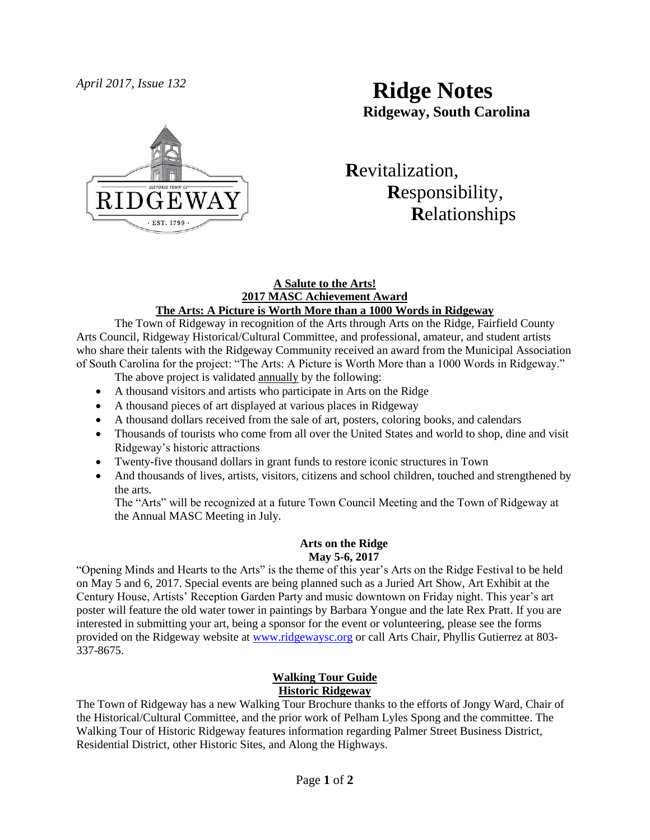

# *April 2017, Issue 132* **Ridge Notes Ridgeway, South Carolina**

 **R**evitalization,  **R**esponsibility,  **R**elationships

#### **A Salute to the Arts! 2017 MASC Achievement Award The Arts: A Picture is Worth More than a 1000 Words in Ridgeway**

The Town of Ridgeway in recognition of the Arts through Arts on the Ridge, Fairfield County Arts Council, Ridgeway Historical/Cultural Committee, and professional, amateur, and student artists who share their talents with the Ridgeway Community received an award from the Municipal Association of South Carolina for the project: "The Arts: A Picture is Worth More than a 1000 Words in Ridgeway."

The above project is validated annually by the following:

- A thousand visitors and artists who participate in Arts on the Ridge
- A thousand pieces of art displayed at various places in Ridgeway
- A thousand dollars received from the sale of art, posters, coloring books, and calendars
- Thousands of tourists who come from all over the United States and world to shop, dine and visit Ridgeway's historic attractions
- Twenty-five thousand dollars in grant funds to restore iconic structures in Town
- And thousands of lives, artists, visitors, citizens and school children, touched and strengthened by the arts.

The "Arts" will be recognized at a future Town Council Meeting and the Town of Ridgeway at the Annual MASC Meeting in July.

#### **Arts on the Ridge May 5-6, 2017**

"Opening Minds and Hearts to the Arts" is the theme of this year's Arts on the Ridge Festival to be held on May 5 and 6, 2017. Special events are being planned such as a Juried Art Show, Art Exhibit at the Century House, Artists' Reception Garden Party and music downtown on Friday night. This year's art poster will feature the old water tower in paintings by Barbara Yongue and the late Rex Pratt. If you are interested in submitting your art, being a sponsor for the event or volunteering, please see the forms provided on the Ridgeway website at [www.ridgewaysc.org](http://www.ridgewaysc.org/) or call Arts Chair, Phyllis Gutierrez at 803- 337-8675.

## **Walking Tour Guide Historic Ridgeway**

The Town of Ridgeway has a new Walking Tour Brochure thanks to the efforts of Jongy Ward, Chair of the Historical/Cultural Committee, and the prior work of Pelham Lyles Spong and the committee. The Walking Tour of Historic Ridgeway features information regarding Palmer Street Business District, Residential District, other Historic Sites, and Along the Highways.